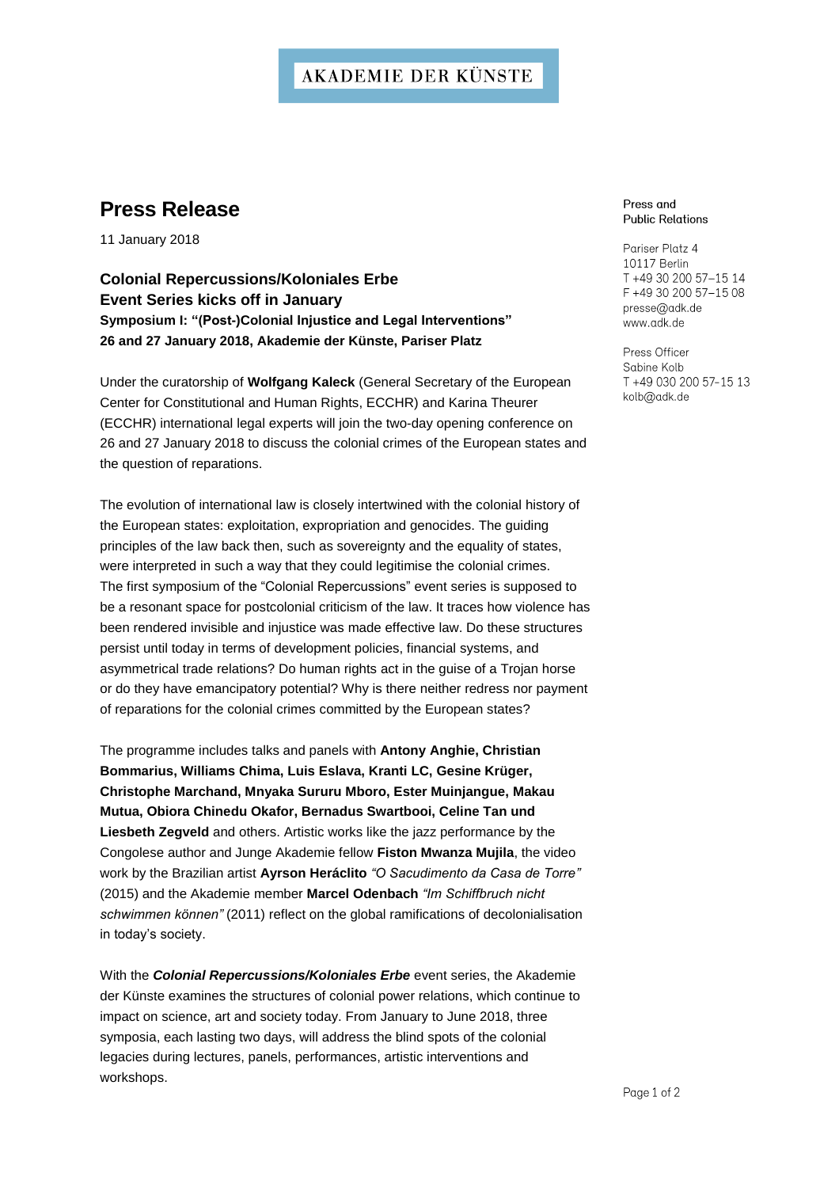## **AKADEMIE DER KÜNSTE**

# **Press Release**

11 January 2018

### **Colonial Repercussions/Koloniales Erbe Event Series kicks off in January Symposium I: "(Post-)Colonial Injustice and Legal Interventions" 26 and 27 January 2018, Akademie der Künste, Pariser Platz**

Under the curatorship of **Wolfgang Kaleck** (General Secretary of the European Center for Constitutional and Human Rights, ECCHR) and Karina Theurer (ECCHR) international legal experts will join the two-day opening conference on 26 and 27 January 2018 to discuss the colonial crimes of the European states and the question of reparations.

The evolution of international law is closely intertwined with the colonial history of the European states: exploitation, expropriation and genocides. The guiding principles of the law back then, such as sovereignty and the equality of states, were interpreted in such a way that they could legitimise the colonial crimes. The first symposium of the "Colonial Repercussions" event series is supposed to be a resonant space for postcolonial criticism of the law. It traces how violence has been rendered invisible and injustice was made effective law. Do these structures persist until today in terms of development policies, financial systems, and asymmetrical trade relations? Do human rights act in the guise of a Trojan horse or do they have emancipatory potential? Why is there neither redress nor payment of reparations for the colonial crimes committed by the European states?

The programme includes talks and panels with **Antony Anghie, Christian Bommarius, Williams Chima, Luis Eslava, Kranti LC, Gesine Krüger, Christophe Marchand, Mnyaka Sururu Mboro, Ester Muinjangue, Makau Mutua, Obiora Chinedu Okafor, Bernadus Swartbooi, Celine Tan und Liesbeth Zegveld** and others. Artistic works like the jazz performance by the Congolese author and Junge Akademie fellow **Fiston Mwanza Mujila**, the video work by the Brazilian artist **Ayrson Heráclito** *"O Sacudimento da Casa de Torre"* (2015) and the Akademie member **Marcel Odenbach** *"Im Schiffbruch nicht schwimmen können"* (2011) reflect on the global ramifications of decolonialisation in today's society.

With the *Colonial Repercussions/Koloniales Erbe* event series, the Akademie der Künste examines the structures of colonial power relations, which continue to impact on science, art and society today. From January to June 2018, three symposia, each lasting two days, will address the blind spots of the colonial legacies during lectures, panels, performances, artistic interventions and workshops.

#### Press and **Public Relations**

Pariser Platz 4 10117 Berlin T +49 30 200 57-15 14 F +49 30 200 57-15 08 presse@adk.de www.adk.de

Press Officer Sabine Kolb T +49 030 200 57-15 13 kolb@adk.de